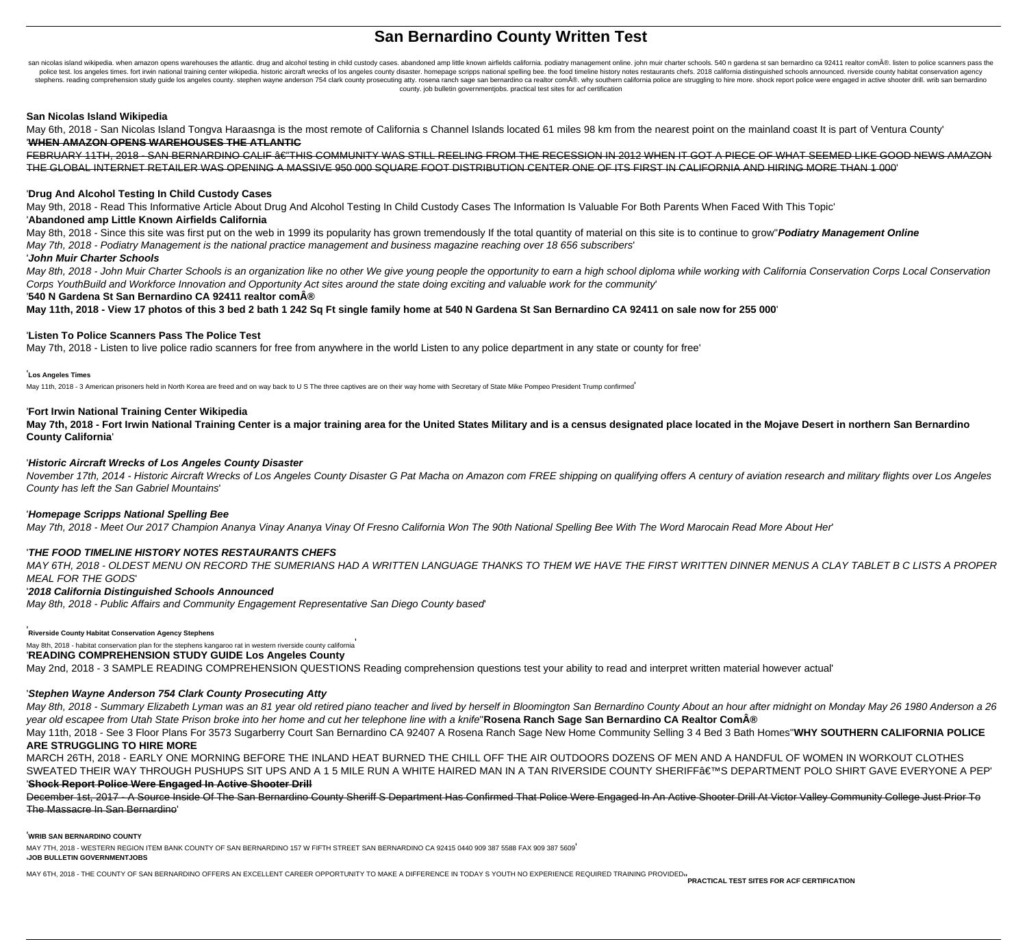# **San Bernardino County Written Test**

san nicolas island wikipedia. when amazon opens warehouses the atlantic. drug and alcohol testing in child custody cases. abandoned amp little known airfields california. podiatry management online. john muir charter schoo police test. los angeles times. fort irwin national training center wikipedia. historic aircraft wrecks of los angeles county disaster. homepage scripps national spelling bee. the food timeline history notes restaurants ch stephens. reading comprehension study guide los angeles county. stephen wayne anderson 754 clark county prosecuting atty. rosena ranch sage san bernardino ca realtor com®. why southern california police are struggling to county. job bulletin governmentjobs. practical test sites for acf certification

#### **San Nicolas Island Wikipedia**

May 6th, 2018 - San Nicolas Island Tongva Haraasnga is the most remote of California s Channel Islands located 61 miles 98 km from the nearest point on the mainland coast It is part of Ventura County' '**WHEN AMAZON OPENS WAREHOUSES THE ATLANTIC**

FEBRUARY 11TH, 2018 - SAN BERNARDINO CALIF â€"THIS COMMUNITY WAS STILL REELING FROM THE RECESSION IN 2012 WHEN IT GOT A PIECE OF WHAT SEEMED LIKE GOOD NEWS AMAZON THE GLOBAL INTERNET RETAILER WAS OPENING A MASSIVE 950 000 SQUARE FOOT DISTRIBUTION CENTER ONE OF ITS FIRST IN CALIFORNIA AND HIRING MORE THAN 1 000'

#### '**Drug And Alcohol Testing In Child Custody Cases**

May 9th, 2018 - Read This Informative Article About Drug And Alcohol Testing In Child Custody Cases The Information Is Valuable For Both Parents When Faced With This Topic'

#### '**Abandoned amp Little Known Airfields California**

May 8th, 2018 - Since this site was first put on the web in 1999 its popularity has grown tremendously If the total quantity of material on this site is to continue to grow''**Podiatry Management Online**

May 7th, 2018 - Podiatry Management is the national practice management and business magazine reaching over 18 656 subscribers'

#### '**John Muir Charter Schools**

May 8th, 2018 - John Muir Charter Schools is an organization like no other We give young people the opportunity to earn a high school diploma while working with California Conservation Corps Local Conservation Corps YouthBuild and Workforce Innovation and Opportunity Act sites around the state doing exciting and valuable work for the community'

<sup>'540</sup> N Gardena St San Bernardino CA 92411 realtor com®

**May 11th, 2018 - View 17 photos of this 3 bed 2 bath 1 242 Sq Ft single family home at 540 N Gardena St San Bernardino CA 92411 on sale now for 255 000**'

#### '**Listen To Police Scanners Pass The Police Test**

May 7th, 2018 - Listen to live police radio scanners for free from anywhere in the world Listen to any police department in any state or county for free'

#### '**Los Angeles Times**

May 11th, 2018 - 3 American prisoners held in North Korea are freed and on way back to U S The three captives are on their way home with Secretary of State Mike Pompeo President Trump confirmed

#### '**Fort Irwin National Training Center Wikipedia**

**May 7th, 2018 - Fort Irwin National Training Center is a major training area for the United States Military and is a census designated place located in the Mojave Desert in northern San Bernardino County California**'

#### '**Historic Aircraft Wrecks of Los Angeles County Disaster**

November 17th, 2014 - Historic Aircraft Wrecks of Los Angeles County Disaster G Pat Macha on Amazon com FREE shipping on qualifying offers A century of aviation research and military flights over Los Angeles County has left the San Gabriel Mountains'

#### '**Homepage Scripps National Spelling Bee**

May 7th, 2018 - Meet Our 2017 Champion Ananya Vinay Ananya Vinay Of Fresno California Won The 90th National Spelling Bee With The Word Marocain Read More About Her'

#### '**THE FOOD TIMELINE HISTORY NOTES RESTAURANTS CHEFS**

MAY 6TH, 2018 - OLDEST MENU ON RECORD THE SUMERIANS HAD A WRITTEN LANGUAGE THANKS TO THEM WE HAVE THE FIRST WRITTEN DINNER MENUS A CLAY TABLET B C LISTS A PROPER MEAL FOR THE GODS'

#### '**2018 California Distinguished Schools Announced**

May 8th, 2018 - Public Affairs and Community Engagement Representative San Diego County based'

#### '**Riverside County Habitat Conservation Agency Stephens**

May 8th, 2018 - habitat conservation plan for the stephens kangaroo rat in western riverside county california'

## '**READING COMPREHENSION STUDY GUIDE Los Angeles County**

May 2nd, 2018 - 3 SAMPLE READING COMPREHENSION QUESTIONS Reading comprehension questions test your ability to read and interpret written material however actual'

### '**Stephen Wayne Anderson 754 Clark County Prosecuting Atty**

May 8th, 2018 - Summary Elizabeth Lyman was an 81 year old retired piano teacher and lived by herself in Bloomington San Bernardino County About an hour after midnight on Monday May 26 1980 Anderson a 26 year old escapee from Utah State Prison broke into her home and cut her telephone line with a knife''**Rosena Ranch Sage San Bernardino CA Realtor Com®**

May 11th, 2018 - See 3 Floor Plans For 3573 Sugarberry Court San Bernardino CA 92407 A Rosena Ranch Sage New Home Community Selling 3 4 Bed 3 Bath Homes''**WHY SOUTHERN CALIFORNIA POLICE ARE STRUGGLING TO HIRE MORE**

MARCH 26TH, 2018 - EARLY ONE MORNING BEFORE THE INLAND HEAT BURNED THE CHILL OFF THE AIR OUTDOORS DOZENS OF MEN AND A HANDFUL OF WOMEN IN WORKOUT CLOTHES SWEATED THEIR WAY THROUGH PUSHUPS SIT UPS AND A 15 MILE RUN A WHITE HAIRED MAN IN A TAN RIVERSIDE COUNTY SHERIFF'S DEPARTMENT POLO SHIRT GAVE EVERYONE A PEP' '**Shock Report Police Were Engaged In Active Shooter Drill**

December 1st, 2017 - A Source Inside Of The San Bernardino County Sheriff S Department Has Confirmed That Police Were Engaged In An Active Shooter Drill At Victor Valley Community College Just Prior To The Massacre In San Bernardino'

#### '**WRIB SAN BERNARDINO COUNTY**

MAY 7TH, 2018 - WESTERN REGION ITEM BANK COUNTY OF SAN BERNARDINO 157 W FIFTH STREET SAN BERNARDINO CA 92415 0440 909 387 5588 FAX 909 387 5609' '**JOB BULLETIN GOVERNMENTJOBS**

MAY 6TH, 2018 - THE COUNTY OF SAN BERNARDINO OFFERS AN EXCELLENT CAREER OPPORTUNITY TO MAKE A DIFFERENCE IN TODAY S YOUTH NO EXPERIENCE REQUIRED TRAINING PROVIDED<sub>''</sub><br>PRACTICAL TEST SITES FOR ACF CERTIFICATION